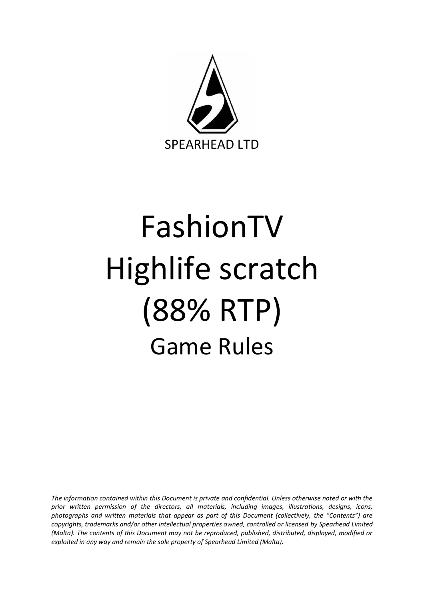

# FashionTV Highlife scratch (88% RTP) Game Rules

*The information contained within this Document is private and confidential. Unless otherwise noted or with the prior written permission of the directors, all materials, including images, illustrations, designs, icons, photographs and written materials that appear as part of this Document (collectively, the "Contents") are copyrights, trademarks and/or other intellectual properties owned, controlled or licensed by Spearhead Limited (Malta). The contents of this Document may not be reproduced, published, distributed, displayed, modified or exploited in any way and remain the sole property of Spearhead Limited (Malta).*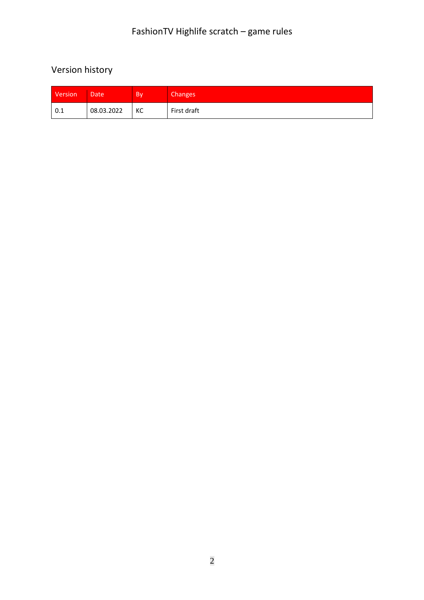# Version history

| Version | Date       | <b>B</b> | Changes <sup>1</sup> |
|---------|------------|----------|----------------------|
| 0.1     | 08.03.2022 | КC       | First draft          |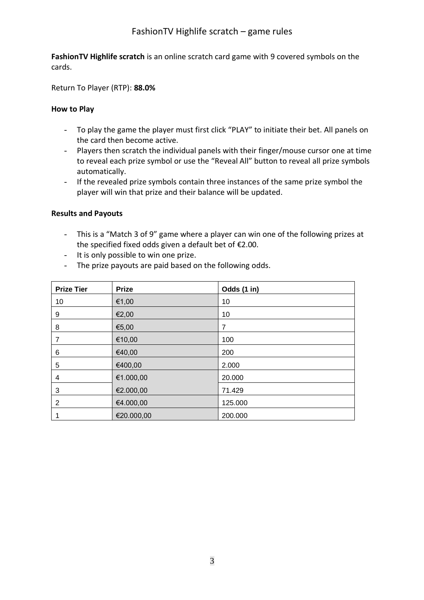## FashionTV Highlife scratch – game rules

**FashionTV Highlife scratch** is an online scratch card game with 9 covered symbols on the cards.

Return To Player (RTP): **88.0%**

#### **How to Play**

- To play the game the player must first click "PLAY" to initiate their bet. All panels on the card then become active.
- Players then scratch the individual panels with their finger/mouse cursor one at time to reveal each prize symbol or use the "Reveal All" button to reveal all prize symbols automatically.
- If the revealed prize symbols contain three instances of the same prize symbol the player will win that prize and their balance will be updated.

#### **Results and Payouts**

- This is a "Match 3 of 9" game where a player can win one of the following prizes at the specified fixed odds given a default bet of €2.00.
- It is only possible to win one prize.
- The prize payouts are paid based on the following odds.

| <b>Prize Tier</b> | <b>Prize</b> | Odds (1 in) |
|-------------------|--------------|-------------|
| 10                | €1,00        | 10          |
| 9                 | €2,00        | 10          |
| 8                 | €5,00        | 7           |
| 7                 | €10,00       | 100         |
| 6                 | €40,00       | 200         |
| 5                 | €400,00      | 2.000       |
| 4                 | €1.000,00    | 20.000      |
| 3                 | €2.000,00    | 71.429      |
| 2                 | €4.000,00    | 125.000     |
|                   | €20.000,00   | 200.000     |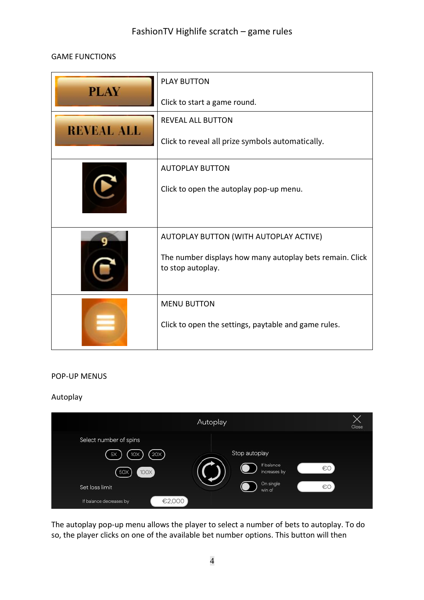## FashionTV Highlife scratch – game rules

#### GAME FUNCTIONS

| <b>PLAY</b>       | <b>PLAY BUTTON</b>                                                            |  |
|-------------------|-------------------------------------------------------------------------------|--|
|                   | Click to start a game round.                                                  |  |
| <b>REVEAL ALL</b> | <b>REVEAL ALL BUTTON</b>                                                      |  |
|                   | Click to reveal all prize symbols automatically.                              |  |
|                   | <b>AUTOPLAY BUTTON</b>                                                        |  |
|                   | Click to open the autoplay pop-up menu.                                       |  |
|                   | AUTOPLAY BUTTON (WITH AUTOPLAY ACTIVE)                                        |  |
|                   | The number displays how many autoplay bets remain. Click<br>to stop autoplay. |  |
|                   | <b>MENU BUTTON</b>                                                            |  |
|                   | Click to open the settings, paytable and game rules.                          |  |

#### POP-UP MENUS

#### Autoplay

|                         | Autoplay                   | Close |
|-------------------------|----------------------------|-------|
| Select number of spins  |                            |       |
| 20X<br>5X<br>1OX        | Stop autoplay              |       |
| 100X<br><b>50X</b>      | If balance<br>increases by | €O    |
| Set loss limit          | On single<br>win of        | €O    |
| If balance decreases by | €2,000                     |       |

The autoplay pop-up menu allows the player to select a number of bets to autoplay. To do so, the player clicks on one of the available bet number options. This button will then